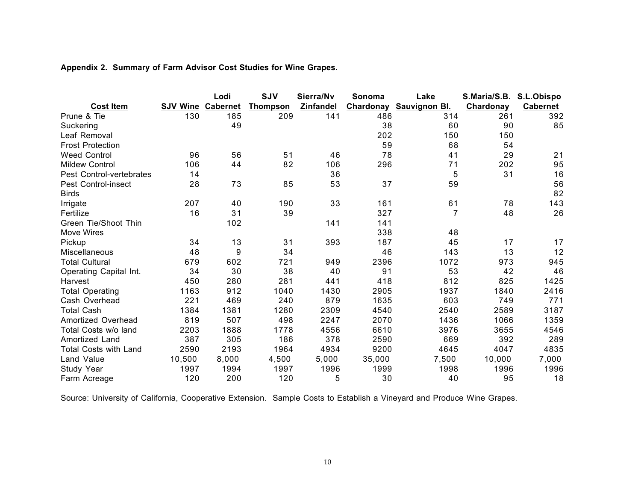## **Appendix 2. Summary of Farm Advisor Cost Studies for Wine Grapes.**

|                              |                          | Lodi  | <b>SJV</b>      | Sierra/Nv        | Sonoma    | Lake                 | S.Maria/S.B. | S.L.Obispo      |
|------------------------------|--------------------------|-------|-----------------|------------------|-----------|----------------------|--------------|-----------------|
| <b>Cost Item</b>             | <b>SJV Wine Cabernet</b> |       | <u>Thompson</u> | <b>Zinfandel</b> | Chardonay | <b>Sauvignon Bl.</b> | Chardonay    | <b>Cabernet</b> |
| Prune & Tie                  | 130                      | 185   | 209             | 141              | 486       | 314                  | 261          | 392             |
| Suckering                    |                          | 49    |                 |                  | 38        | 60                   | 90           | 85              |
| Leaf Removal                 |                          |       |                 |                  | 202       | 150                  | 150          |                 |
| <b>Frost Protection</b>      |                          |       |                 |                  | 59        | 68                   | 54           |                 |
| <b>Weed Control</b>          | 96                       | 56    | 51              | 46               | 78        | 41                   | 29           | 21              |
| <b>Mildew Control</b>        | 106                      | 44    | 82              | 106              | 296       | 71                   | 202          | 95              |
| Pest Control-vertebrates     | 14                       |       |                 | 36               |           | 5                    | 31           | 16              |
| Pest Control-insect          | 28                       | 73    | 85              | 53               | 37        | 59                   |              | 56              |
| <b>Birds</b>                 |                          |       |                 |                  |           |                      |              | 82              |
| Irrigate                     | 207                      | 40    | 190             | 33               | 161       | 61                   | 78           | 143             |
| Fertilize                    | 16                       | 31    | 39              |                  | 327       | 7                    | 48           | 26              |
| Green Tie/Shoot Thin         |                          | 102   |                 | 141              | 141       |                      |              |                 |
| <b>Move Wires</b>            |                          |       |                 |                  | 338       | 48                   |              |                 |
| Pickup                       | 34                       | 13    | 31              | 393              | 187       | 45                   | 17           | 17              |
| Miscellaneous                | 48                       | 9     | 34              |                  | 46        | 143                  | 13           | 12              |
| <b>Total Cultural</b>        | 679                      | 602   | 721             | 949              | 2396      | 1072                 | 973          | 945             |
| Operating Capital Int.       | 34                       | 30    | 38              | 40               | 91        | 53                   | 42           | 46              |
| Harvest                      | 450                      | 280   | 281             | 441              | 418       | 812                  | 825          | 1425            |
| <b>Total Operating</b>       | 1163                     | 912   | 1040            | 1430             | 2905      | 1937                 | 1840         | 2416            |
| Cash Overhead                | 221                      | 469   | 240             | 879              | 1635      | 603                  | 749          | 771             |
| <b>Total Cash</b>            | 1384                     | 1381  | 1280            | 2309             | 4540      | 2540                 | 2589         | 3187            |
| Amortized Overhead           | 819                      | 507   | 498             | 2247             | 2070      | 1436                 | 1066         | 1359            |
| Total Costs w/o land         | 2203                     | 1888  | 1778            | 4556             | 6610      | 3976                 | 3655         | 4546            |
| Amortized Land               | 387                      | 305   | 186             | 378              | 2590      | 669                  | 392          | 289             |
| <b>Total Costs with Land</b> | 2590                     | 2193  | 1964            | 4934             | 9200      | 4645                 | 4047         | 4835            |
| Land Value                   | 10,500                   | 8,000 | 4,500           | 5,000            | 35,000    | 7,500                | 10,000       | 7,000           |
| Study Year                   | 1997                     | 1994  | 1997            | 1996             | 1999      | 1998                 | 1996         | 1996            |
| Farm Acreage                 | 120                      | 200   | 120             | 5                | 30        | 40                   | 95           | 18              |

Source: University of California, Cooperative Extension. Sample Costs to Establish a Vineyard and Produce Wine Grapes.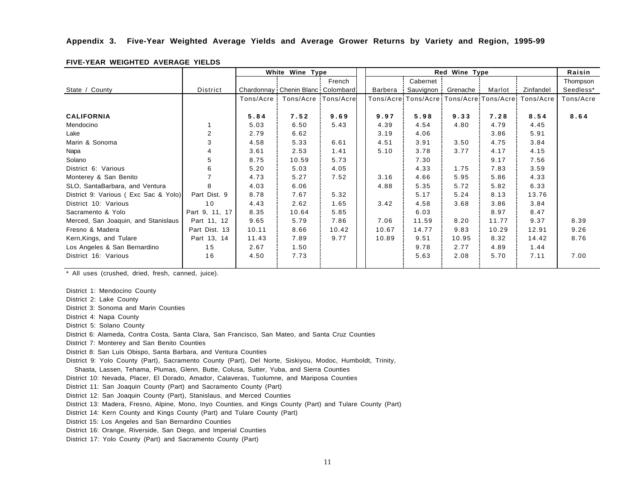## **Appendix 3. Five-Year Weighted Average Yields and Average Grower Returns by Variety and Region, 1995-99**

|                                      |                |            | White Wine Type                     |        | Red Wine Type |            |          |        |                                                       | Raisin    |
|--------------------------------------|----------------|------------|-------------------------------------|--------|---------------|------------|----------|--------|-------------------------------------------------------|-----------|
|                                      |                |            |                                     | French |               | Cabernet   |          |        |                                                       | Thompson  |
| State / County                       | District       |            | Chardonnay: Chenin Blanc: Colombard |        | Barbera       | Sauvignon: | Grenache | Marlot | Zinfandel                                             | Seedless* |
|                                      |                | Tons/Acre: | Tons/Acre:Tons/Acre                 |        |               |            |          |        | Tons/Acre: Tons/Acre: Tons/Acre: Tons/Acre: Tons/Acre | Tons/Acre |
|                                      |                |            |                                     |        |               |            |          |        |                                                       |           |
| <b>CALIFORNIA</b>                    |                | 5.84       | 7.52                                | 9.69   | 9.97          | 5.98       | 9.33     | 7.28   | 8.54                                                  | 8.64      |
| Mendocino                            |                | 5.03       | 6.50                                | 5.43   | 4.39          | 4.54       | 4.80     | 4.79   | 4.45                                                  |           |
| Lake                                 | $\overline{2}$ | 2.79       | 6.62                                |        | 3.19          | 4.06       |          | 3.86   | 5.91                                                  |           |
| Marin & Sonoma                       | 3              | 4.58       | 5.33                                | 6.61   | 4.51          | 3.91       | 3.50     | 4.75   | 3.84                                                  |           |
| Napa                                 | 4              | 3.61       | 2.53                                | 1.41   | 5.10          | 3.78       | 3.77     | 4.17   | 4.15                                                  |           |
| Solano                               | 5              | 8.75       | 10.59                               | 5.73   |               | 7.30       |          | 9.17   | 7.56                                                  |           |
| District 6: Various                  | 6              | 5.20       | 5.03                                | 4.05   |               | 4.33       | 1.75     | 7.83   | 3.59                                                  |           |
| Monterey & San Benito                |                | 4.73       | 5.27                                | 7.52   | 3.16          | 4.66       | 5.95     | 5.86   | 4.33                                                  |           |
| SLO, SantaBarbara, and Ventura       | 8              | 4.03       | 6.06                                |        | 4.88          | 5.35       | 5.72     | 5.82   | 6.33                                                  |           |
| District 9: Various (Exc Sac & Yolo) | Part Dist. 9   | 8.78       | 7.67                                | 5.32   |               | 5.17       | 5.24     | 8.13   | 13.76                                                 |           |
| District 10: Various                 | 10             | 4.43       | 2.62                                | 1.65   | 3.42          | 4.58       | 3.68     | 3.86   | 3.84                                                  |           |
| Sacramento & Yolo                    | Part 9, 11, 17 | 8.35       | 10.64                               | 5.85   |               | 6.03       |          | 8.97   | 8.47                                                  |           |
| Merced, San Joaquin, and Stanislaus  | Part 11, 12    | 9.65       | 5.79                                | 7.86   | 7.06          | 11.59      | 8.20     | 11.77  | 9.37                                                  | 8.39      |
| Fresno & Madera                      | Part Dist. 13  | 10.11      | 8.66                                | 10.42  | 10.67         | 14.77      | 9.83     | 10.29  | 12.91                                                 | 9.26      |
| Kern, Kings, and Tulare              | Part 13, 14    | 11.43      | 7.89                                | 9.77   | 10.89         | 9.51       | 10.95    | 8.32   | 14.42                                                 | 8.76      |
| Los Angeles & San Bernardino         | 15             | 2.67       | 1.50                                |        |               | 9.78       | 2.77     | 4.89   | 1.44                                                  |           |
| District 16: Various                 | 16             | 4.50       | 7.73                                |        |               | 5.63       | 2.08     | 5.70   | 7.11                                                  | 7.00      |
|                                      |                |            |                                     |        |               |            |          |        |                                                       |           |

## **FIVE-YEAR WEIGHTED AVERAGE YIELDS**

\* All uses (crushed, dried, fresh, canned, juice).

District 1: Mendocino County

District 2: Lake County

District 3: Sonoma and Marin Counties

District 4: Napa County

District 5: Solano County

District 6: Alameda, Contra Costa, Santa Clara, San Francisco, San Mateo, and Santa Cruz Counties

District 7: Monterey and San Benito Counties

District 8: San Luis Obispo, Santa Barbara, and Ventura Counties

District 9: Yolo County (Part), Sacramento County (Part), Del Norte, Siskiyou, Modoc, Humboldt, Trinity,

Shasta, Lassen, Tehama, Plumas, Glenn, Butte, Colusa, Sutter, Yuba, and Sierra Counties

District 10: Nevada, Placer, El Dorado, Amador, Calaveras, Tuolumne, and Mariposa Counties

District 11: San Joaquin County (Part) and Sacramento County (Part)

District 12: San Joaquin County (Part), Stanislaus, and Merced Counties

District 13: Madera, Fresno, Alpine, Mono, Inyo Counties, and Kings County (Part) and Tulare County (Part)

District 14: Kern County and Kings County (Part) and Tulare County (Part)

District 15: Los Angeles and San Bernardino Counties

District 16: Orange, Riverside, San Diego, and Imperial Counties

District 17: Yolo County (Part) and Sacramento County (Part)